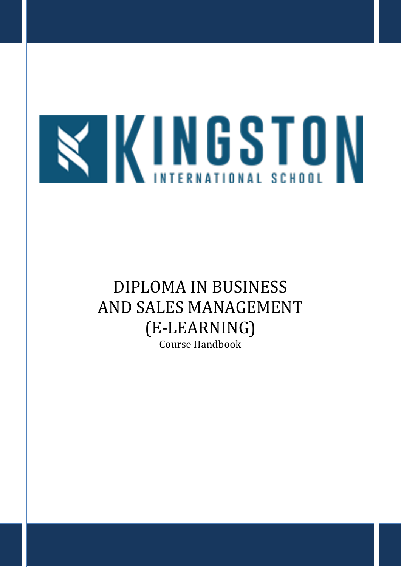# **TKINGSTON**

# DIPLOMA IN BUSINESS AND SALES MANAGEMENT (E-LEARNING) Course Handbook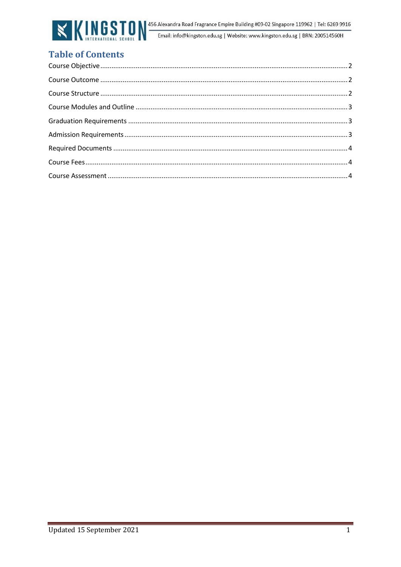

# **Table of Contents**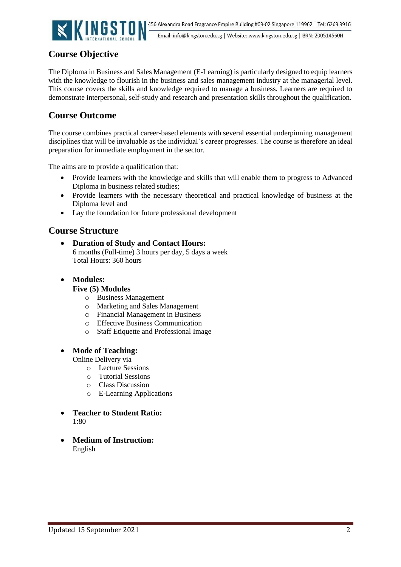

# <span id="page-2-0"></span>**Course Objective**

<span id="page-2-1"></span>The Diploma in Business and Sales Management (E-Learning) is particularly designed to equip learners with the knowledge to flourish in the business and sales management industry at the managerial level. This course covers the skills and knowledge required to manage a business. Learners are required to demonstrate interpersonal, self-study and research and presentation skills throughout the qualification.

# **Course Outcome**

<span id="page-2-2"></span>The course combines practical career-based elements with several essential underpinning management disciplines that will be invaluable as the individual's career progresses. The course is therefore an ideal preparation for immediate employment in the sector.

The aims are to provide a qualification that:

- Provide learners with the knowledge and skills that will enable them to progress to Advanced Diploma in business related studies;
- Provide learners with the necessary theoretical and practical knowledge of business at the Diploma level and
- Lay the foundation for future professional development

# **Course Structure**

- **Duration of Study and Contact Hours:**  6 months (Full-time) 3 hours per day, 5 days a week Total Hours: 360 hours
- **Modules:**

### **Five (5) Modules**

- o Business Management
- o Marketing and Sales Management
- o Financial Management in Business
- o Effective Business Communication
- o Staff Etiquette and Professional Image

### • **Mode of Teaching:**

Online Delivery via

- o Lecture Sessions
- o Tutorial Sessions
- o Class Discussion
- o E-Learning Applications
- **Teacher to Student Ratio:**  1:80
- **Medium of Instruction:** English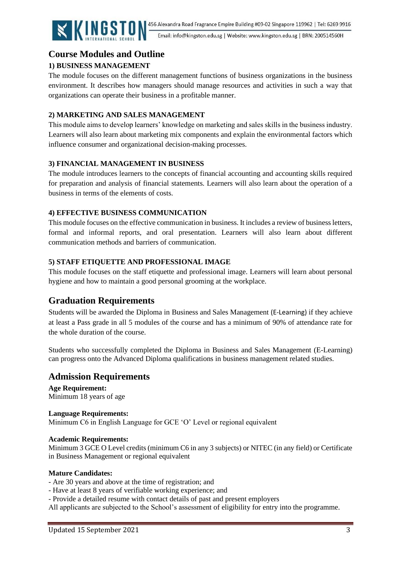

Email: info@kingston.edu.sg | Website: www.kingston.edu.sg | BRN: 200514560H

# <span id="page-3-0"></span>**Course Modules and Outline**

# <span id="page-3-1"></span>**1) BUSINESS MANAGEMENT**

The module focuses on the different management functions of business organizations in the business environment. It describes how managers should manage resources and activities in such a way that organizations can operate their business in a profitable manner.

# **2) MARKETING AND SALES MANAGEMENT**

This module aims to develop learners' knowledge on marketing and sales skills in the business industry. Learners will also learn about marketing mix components and explain the environmental factors which influence consumer and organizational decision-making processes.

# **3) FINANCIAL MANAGEMENT IN BUSINESS**

The module introduces learners to the concepts of financial accounting and accounting skills required for preparation and analysis of financial statements. Learners will also learn about the operation of a business in terms of the elements of costs.

# **4) EFFECTIVE BUSINESS COMMUNICATION**

This module focuses on the effective communication in business. It includes a review of business letters, formal and informal reports, and oral presentation. Learners will also learn about different communication methods and barriers of communication.

# **5) STAFF ETIQUETTE AND PROFESSIONAL IMAGE**

This module focuses on the staff etiquette and professional image. Learners will learn about personal hygiene and how to maintain a good personal grooming at the workplace.

# **Graduation Requirements**

Students will be awarded the Diploma in Business and Sales Management (E-Learning) if they achieve at least a Pass grade in all 5 modules of the course and has a minimum of 90% of attendance rate for the whole duration of the course.

<span id="page-3-2"></span>Students who successfully completed the Diploma in Business and Sales Management (E-Learning) can progress onto the Advanced Diploma qualifications in business management related studies.

# **Admission Requirements**

**Age Requirement:** Minimum 18 years of age

### **Language Requirements:**

Minimum C6 in English Language for GCE 'O' Level or regional equivalent

### **Academic Requirements:**

Minimum 3 GCE O Level credits (minimum C6 in any 3 subjects) or NITEC (in any field) or Certificate in Business Management or regional equivalent

# **Mature Candidates:**

- Are 30 years and above at the time of registration; and
- Have at least 8 years of verifiable working experience; and
- Provide a detailed resume with contact details of past and present employers

All applicants are subjected to the School's assessment of eligibility for entry into the programme.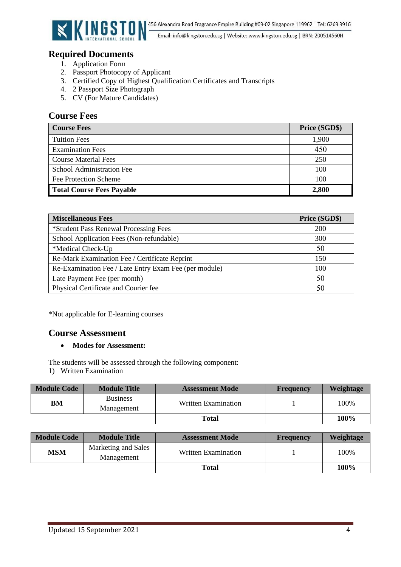

# <span id="page-4-0"></span>**Required Documents**

- 1. Application Form
- 2. Passport Photocopy of Applicant
- 3. Certified Copy of Highest Qualification Certificates and Transcripts
- 4. 2 Passport Size Photograph
- 5. CV (For Mature Candidates)

# <span id="page-4-1"></span>**Course Fees**

<span id="page-4-2"></span>

| <b>Course Fees</b>               | Price (SGD\$) |
|----------------------------------|---------------|
| <b>Tuition Fees</b>              | 1,900         |
| <b>Examination Fees</b>          | 450           |
| <b>Course Material Fees</b>      | 250           |
| School Administration Fee        | 100           |
| Fee Protection Scheme            | 100           |
| <b>Total Course Fees Payable</b> | 2,800         |

| <b>Miscellaneous Fees</b>                             | Price (SGD\$) |
|-------------------------------------------------------|---------------|
| *Student Pass Renewal Processing Fees                 | <b>200</b>    |
| School Application Fees (Non-refundable)              | 300           |
| *Medical Check-Up                                     | 50            |
| Re-Mark Examination Fee / Certificate Reprint         | 150           |
| Re-Examination Fee / Late Entry Exam Fee (per module) | 100           |
| Late Payment Fee (per month)                          | 50            |
| Physical Certificate and Courier fee                  | 50            |

\*Not applicable for E-learning courses

# **Course Assessment**

### • **Modes for Assessment:**

The students will be assessed through the following component:

1) Written Examination

| <b>Module Code</b> | <b>Module Title</b>           | <b>Assessment Mode</b> | <b>Frequency</b> | Weightage |
|--------------------|-------------------------------|------------------------|------------------|-----------|
| BM                 | <b>Business</b><br>Management | Written Examination    |                  | 100%      |
|                    |                               | Total                  |                  | 100%      |

| <b>Module Code</b>                              | <b>Module Title</b> | <b>Assessment Mode</b> | <b>Frequency</b> | Weightage |
|-------------------------------------------------|---------------------|------------------------|------------------|-----------|
| Marketing and Sales<br><b>MSM</b><br>Management |                     | Written Examination    |                  | 100%      |
|                                                 |                     | Total                  |                  | 100%      |